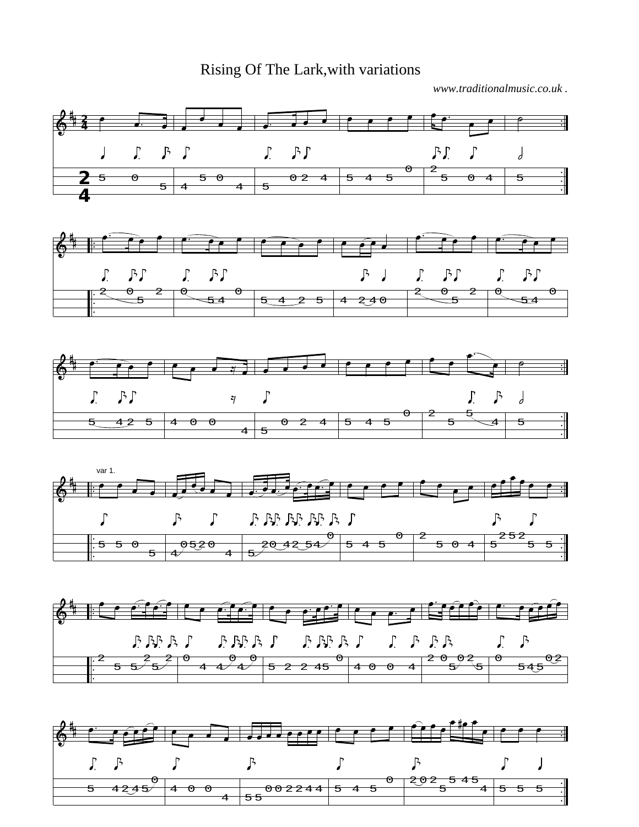## Rising Of The Lark,with variations

*www.traditionalmusic.co.uk .*



0 0

 $4 + 55$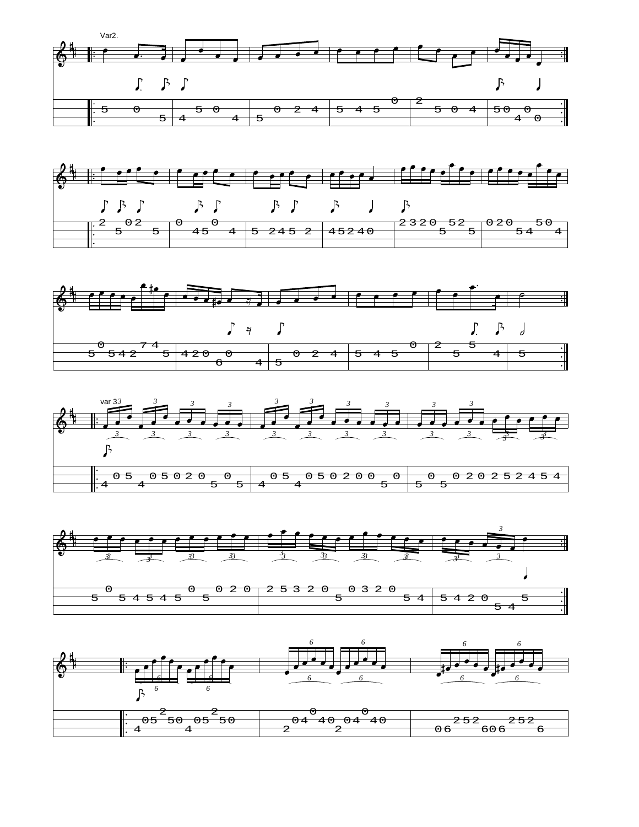